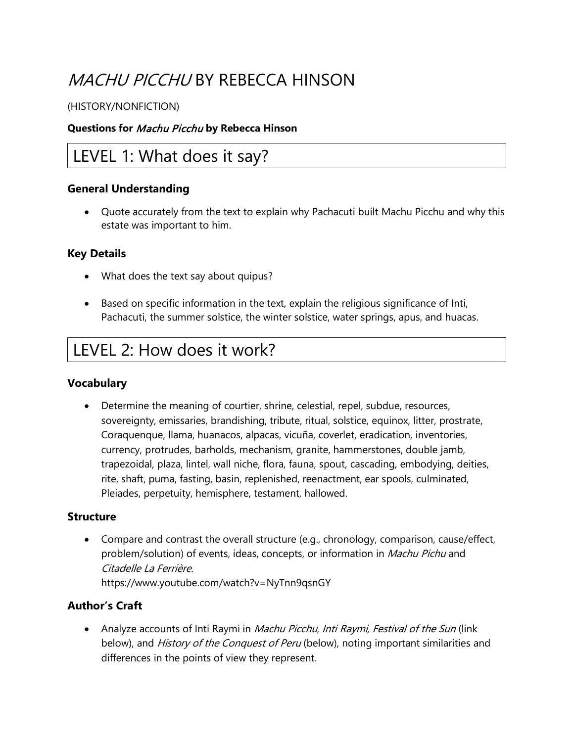# MACHU PICCHU BY REBECCA HINSON

#### (HISTORY/NONFICTION)

#### **Questions for** Machu Picchu **by Rebecca Hinson**

### LEVEL 1: What does it say?

### **General Understanding**

• Quote accurately from the text to explain why Pachacuti built Machu Picchu and why this estate was important to him.

### **Key Details**

- What does the text say about quipus?
- Based on specific information in the text, explain the religious significance of Inti, Pachacuti, the summer solstice, the winter solstice, water springs, apus, and huacas.

## LEVEL 2: How does it work?

### **Vocabulary**

• Determine the meaning of courtier, shrine, celestial, repel, subdue, resources, sovereignty, emissaries, brandishing, tribute, ritual, solstice, equinox, litter, prostrate, Coraquenque, llama, huanacos, alpacas, vicuña, coverlet, eradication, inventories, currency, protrudes, barholds, mechanism, granite, hammerstones, double jamb, trapezoidal, plaza, lintel, wall niche, flora, fauna, spout, cascading, embodying, deities, rite, shaft, puma, fasting, basin, replenished, reenactment, ear spools, culminated, Pleiades, perpetuity, hemisphere, testament, hallowed.

#### **Structure**

• Compare and contrast the overall structure (e.g., chronology, comparison, cause/effect, problem/solution) of events, ideas, concepts, or information in *Machu Pichu* and Citadelle La Ferrière. https://www.youtube.com/watch?v=NyTnn9qsnGY

### **Author's Craft**

• Analyze accounts of Inti Raymi in Machu Picchu, Inti Raymi, Festival of the Sun (link below), and *History of the Conquest of Peru* (below), noting important similarities and differences in the points of view they represent.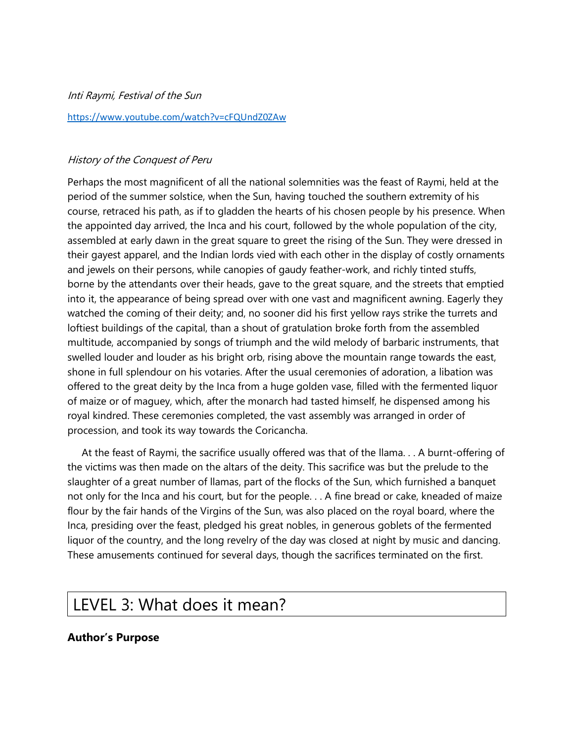Inti Raymi, Festival of the Sun <https://www.youtube.com/watch?v=cFQUndZ0ZAw>

#### History of the Conquest of Peru

Perhaps the most magnificent of all the national solemnities was the feast of Raymi, held at the period of the summer solstice, when the Sun, having touched the southern extremity of his course, retraced his path, as if to gladden the hearts of his chosen people by his presence. When the appointed day arrived, the Inca and his court, followed by the whole population of the city, assembled at early dawn in the great square to greet the rising of the Sun. They were dressed in their gayest apparel, and the Indian lords vied with each other in the display of costly ornaments and jewels on their persons, while canopies of gaudy feather-work, and richly tinted stuffs, borne by the attendants over their heads, gave to the great square, and the streets that emptied into it, the appearance of being spread over with one vast and magnificent awning. Eagerly they watched the coming of their deity; and, no sooner did his first yellow rays strike the turrets and loftiest buildings of the capital, than a shout of gratulation broke forth from the assembled multitude, accompanied by songs of triumph and the wild melody of barbaric instruments, that swelled louder and louder as his bright orb, rising above the mountain range towards the east, shone in full splendour on his votaries. After the usual ceremonies of adoration, a libation was offered to the great deity by the Inca from a huge golden vase, filled with the fermented liquor of maize or of maguey, which, after the monarch had tasted himself, he dispensed among his royal kindred. These ceremonies completed, the vast assembly was arranged in order of procession, and took its way towards the Coricancha.

 At the feast of Raymi, the sacrifice usually offered was that of the llama. . . A burnt-offering of the victims was then made on the altars of the deity. This sacrifice was but the prelude to the slaughter of a great number of llamas, part of the flocks of the Sun, which furnished a banquet not only for the Inca and his court, but for the people. . . A fine bread or cake, kneaded of maize flour by the fair hands of the Virgins of the Sun, was also placed on the royal board, where the Inca, presiding over the feast, pledged his great nobles, in generous goblets of the fermented liquor of the country, and the long revelry of the day was closed at night by music and dancing. These amusements continued for several days, though the sacrifices terminated on the first.

## LEVEL 3: What does it mean?

#### **Author's Purpose**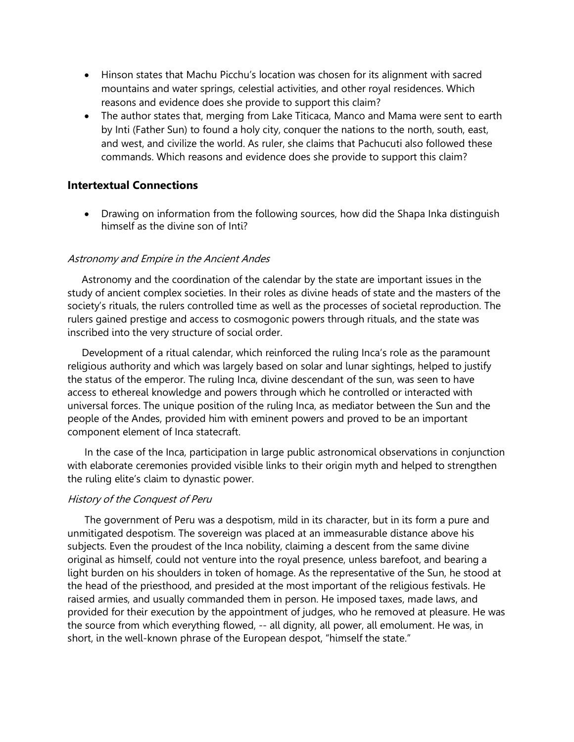- Hinson states that Machu Picchu's location was chosen for its alignment with sacred mountains and water springs, celestial activities, and other royal residences. Which reasons and evidence does she provide to support this claim?
- The author states that, merging from Lake Titicaca, Manco and Mama were sent to earth by Inti (Father Sun) to found a holy city, conquer the nations to the north, south, east, and west, and civilize the world. As ruler, she claims that Pachucuti also followed these commands. Which reasons and evidence does she provide to support this claim?

#### **Intertextual Connections**

• Drawing on information from the following sources, how did the Shapa Inka distinguish himself as the divine son of Inti?

#### Astronomy and Empire in the Ancient Andes

 Astronomy and the coordination of the calendar by the state are important issues in the study of ancient complex societies. In their roles as divine heads of state and the masters of the society's rituals, the rulers controlled time as well as the processes of societal reproduction. The rulers gained prestige and access to cosmogonic powers through rituals, and the state was inscribed into the very structure of social order.

 Development of a ritual calendar, which reinforced the ruling Inca's role as the paramount religious authority and which was largely based on solar and lunar sightings, helped to justify the status of the emperor. The ruling Inca, divine descendant of the sun, was seen to have access to ethereal knowledge and powers through which he controlled or interacted with universal forces. The unique position of the ruling Inca, as mediator between the Sun and the people of the Andes, provided him with eminent powers and proved to be an important component element of Inca statecraft.

 In the case of the Inca, participation in large public astronomical observations in conjunction with elaborate ceremonies provided visible links to their origin myth and helped to strengthen the ruling elite's claim to dynastic power.

#### History of the Conquest of Peru

 The government of Peru was a despotism, mild in its character, but in its form a pure and unmitigated despotism. The sovereign was placed at an immeasurable distance above his subjects. Even the proudest of the Inca nobility, claiming a descent from the same divine original as himself, could not venture into the royal presence, unless barefoot, and bearing a light burden on his shoulders in token of homage. As the representative of the Sun, he stood at the head of the priesthood, and presided at the most important of the religious festivals. He raised armies, and usually commanded them in person. He imposed taxes, made laws, and provided for their execution by the appointment of judges, who he removed at pleasure. He was the source from which everything flowed, -- all dignity, all power, all emolument. He was, in short, in the well-known phrase of the European despot, "himself the state."